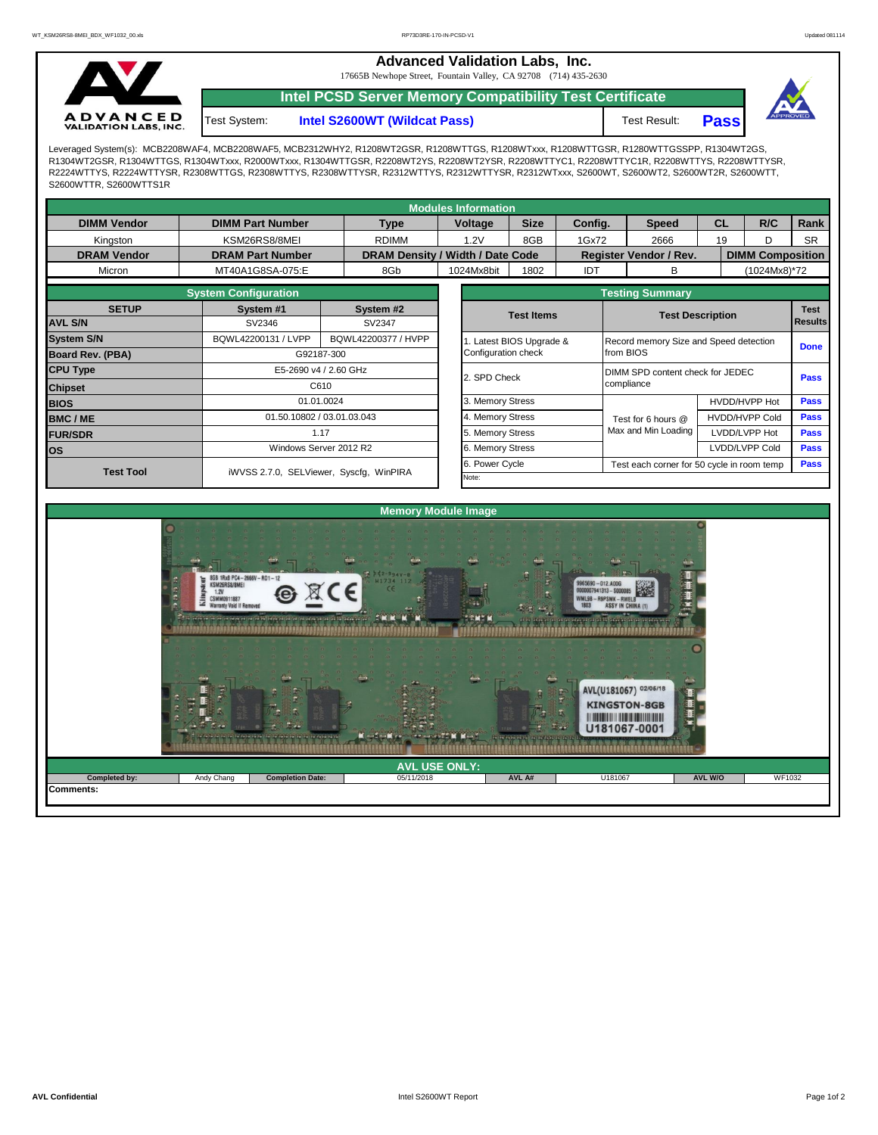**Advanced Validation Labs, Inc.** 

17665B Newhope Street, Fountain Valley, CA 92708 (714) 435-2630



Test System:

**Intel PCSD Server Memory Compatibility Test Certificate**

**Intel S2600WT (Wildcat Pass)** Test Result: **Pass** 



Leveraged System(s): MCB2208WAF4, MCB2208WAF5, MCB2312WHY2, R1208WT2GSR, R1208WTTGS, R1208WTxxx, R1208WTTGSR, R1280WTTGSSPP, R1304WT2GS, R1304WT2GSR, R1304WTTGS, R1304WTxxx, R2000WTxxx, R1304WTTGSR, R2208WT2YS, R2208WT2YSR, R2208WTTYC1, R2208WTTYC1R, R2208WTTYS, R2208WTTYSR, R2224WTTYS, R2224WTTYSR, R2308WTTGS, R2308WTTYS, R2308WTTYSR, R2312WTTYS, R2312WTTYSR, R2312WTxxx, S2600WT, S2600WT2, S2600WT2R, S2600WTT, S2600WTTR, S2600WTTS1R

| <b>Modules Information</b> |                                                                                                                                                 |                                                                              |                     |  |                       |                  |                                        |                         |                                            |                       |                         |             |             |  |
|----------------------------|-------------------------------------------------------------------------------------------------------------------------------------------------|------------------------------------------------------------------------------|---------------------|--|-----------------------|------------------|----------------------------------------|-------------------------|--------------------------------------------|-----------------------|-------------------------|-------------|-------------|--|
| <b>DIMM Vendor</b>         | <b>DIMM Part Number</b>                                                                                                                         |                                                                              | <b>Type</b>         |  | Voltage               | <b>Size</b>      | Config.                                |                         | <b>Speed</b>                               |                       | <b>CL</b>               | R/C         | <b>Rank</b> |  |
| Kingston                   | KSM26RS8/8MEI                                                                                                                                   |                                                                              | <b>RDIMM</b>        |  | 1.2V                  | 8GB              | 1Gx72                                  |                         | 2666                                       | 19<br>D               |                         |             | <b>SR</b>   |  |
| <b>DRAM Vendor</b>         | DRAM Density / Width / Date Code<br><b>DRAM Part Number</b><br>MT40A1G8SA-075:E<br>8Gb<br><b>System Configuration</b><br>System #1<br>System #2 |                                                                              |                     |  |                       |                  | <b>Register Vendor / Rev.</b>          |                         |                                            |                       | <b>DIMM Composition</b> |             |             |  |
| Micron                     |                                                                                                                                                 | SV2346<br>BQWL42200131 / LVPP<br>G92187-300<br>E5-2690 v4 / 2.60 GHz<br>C610 |                     |  | 1024Mx8bit            | 1802             | <b>IDT</b>                             |                         | В                                          |                       | (1024Mx8)*72            |             |             |  |
|                            |                                                                                                                                                 | <b>Testing Summary</b>                                                       |                     |  |                       |                  |                                        |                         |                                            |                       |                         |             |             |  |
| <b>SETUP</b>               |                                                                                                                                                 |                                                                              |                     |  | <b>Test Items</b>     |                  |                                        | <b>Test Description</b> |                                            |                       |                         | <b>Test</b> |             |  |
| <b>AVL S/N</b>             |                                                                                                                                                 |                                                                              | SV2347              |  |                       |                  |                                        | <b>Results</b>          |                                            |                       |                         |             |             |  |
| <b>System S/N</b>          |                                                                                                                                                 | BQWL42200377 / HVPP                                                          |                     |  | Latest BIOS Upgrade & |                  | Record memory Size and Speed detection |                         |                                            |                       |                         | <b>Done</b> |             |  |
| <b>Board Rev. (PBA)</b>    |                                                                                                                                                 |                                                                              | Configuration check |  |                       |                  | from BIOS                              |                         |                                            |                       |                         |             |             |  |
| <b>CPU Type</b>            |                                                                                                                                                 |                                                                              |                     |  | 2. SPD Check          |                  |                                        |                         | DIMM SPD content check for JEDEC           |                       |                         |             |             |  |
| <b>Chipset</b>             |                                                                                                                                                 |                                                                              |                     |  |                       |                  | compliance                             |                         |                                            |                       | <b>Pass</b>             |             |             |  |
| <b>BIOS</b>                |                                                                                                                                                 | 01.01.0024                                                                   |                     |  |                       | 3. Memory Stress |                                        |                         |                                            | HVDD/HVPP Hot         |                         | <b>Pass</b> |             |  |
| <b>BMC/ME</b>              |                                                                                                                                                 | 01.50.10802 / 03.01.03.043                                                   |                     |  |                       | 4. Memory Stress |                                        | Test for 6 hours @      |                                            | <b>HVDD/HVPP Cold</b> |                         | <b>Pass</b> |             |  |
| <b>FUR/SDR</b>             | 1.17                                                                                                                                            |                                                                              |                     |  | 5. Memory Stress      |                  |                                        |                         | Max and Min Loading                        |                       | LVDD/LVPP Hot           |             | <b>Pass</b> |  |
| <b>los</b>                 |                                                                                                                                                 | Windows Server 2012 R2                                                       |                     |  |                       |                  |                                        |                         |                                            |                       | LVDD/LVPP Cold          |             | <b>Pass</b> |  |
| <b>Test Tool</b>           |                                                                                                                                                 | iWVSS 2.7.0, SELViewer, Syscfq, WinPIRA                                      |                     |  |                       | 6. Power Cycle   |                                        |                         | Test each corner for 50 cycle in room temp |                       |                         |             |             |  |
|                            |                                                                                                                                                 |                                                                              |                     |  |                       |                  |                                        |                         |                                            |                       |                         |             |             |  |